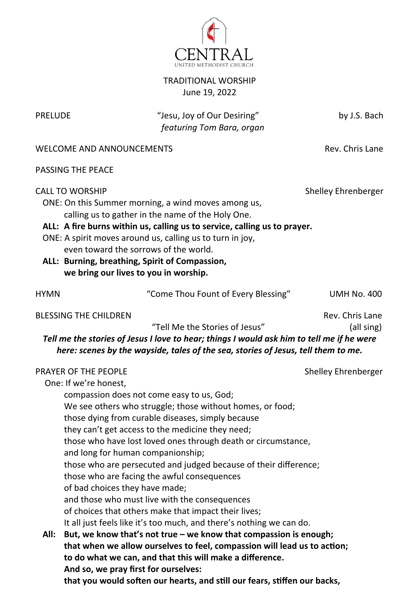

## TRADITIONAL WORSHIP June 19, 2022

PRELUDE "Jesu, Joy of Our Desiring" by J.S. Bach  *featuring Tom Bara, organ*

WELCOME AND ANNOUNCEMENTS WELCOME AND ANNOUNCEMENTS

PASSING THE PEACE

| <b>CALL TO WORSHIP</b><br>even toward the sorrows of the world.<br>ALL: Burning, breathing, Spirit of Compassion,<br>we bring our lives to you in worship.                                                                                                                                                                                                                                                                                                                                                                                                                                                                                                                                                                                                                                                                                                                                                                                                                                                                                                                    | ONE: On this Summer morning, a wind moves among us,<br>calling us to gather in the name of the Holy One.<br>ALL: A fire burns within us, calling us to service, calling us to prayer.<br>ONE: A spirit moves around us, calling us to turn in joy, | Shelley Ehrenberger |  |
|-------------------------------------------------------------------------------------------------------------------------------------------------------------------------------------------------------------------------------------------------------------------------------------------------------------------------------------------------------------------------------------------------------------------------------------------------------------------------------------------------------------------------------------------------------------------------------------------------------------------------------------------------------------------------------------------------------------------------------------------------------------------------------------------------------------------------------------------------------------------------------------------------------------------------------------------------------------------------------------------------------------------------------------------------------------------------------|----------------------------------------------------------------------------------------------------------------------------------------------------------------------------------------------------------------------------------------------------|---------------------|--|
| <b>HYMN</b>                                                                                                                                                                                                                                                                                                                                                                                                                                                                                                                                                                                                                                                                                                                                                                                                                                                                                                                                                                                                                                                                   | "Come Thou Fount of Every Blessing"                                                                                                                                                                                                                | <b>UMH No. 400</b>  |  |
| <b>BLESSING THE CHILDREN</b><br>Rev. Chris Lane<br>"Tell Me the Stories of Jesus"<br>(all sing)<br>Tell me the stories of Jesus I love to hear; things I would ask him to tell me if he were<br>here: scenes by the wayside, tales of the sea, stories of Jesus, tell them to me.                                                                                                                                                                                                                                                                                                                                                                                                                                                                                                                                                                                                                                                                                                                                                                                             |                                                                                                                                                                                                                                                    |                     |  |
| PRAYER OF THE PEOPLE<br>Shelley Ehrenberger<br>One: If we're honest,<br>compassion does not come easy to us, God;<br>We see others who struggle; those without homes, or food;<br>those dying from curable diseases, simply because<br>they can't get access to the medicine they need;<br>those who have lost loved ones through death or circumstance,<br>and long for human companionship;<br>those who are persecuted and judged because of their difference;<br>those who are facing the awful consequences<br>of bad choices they have made;<br>and those who must live with the consequences<br>of choices that others make that impact their lives;<br>It all just feels like it's too much, and there's nothing we can do.<br>All:<br>But, we know that's not true – we know that compassion is enough;<br>that when we allow ourselves to feel, compassion will lead us to action;<br>to do what we can, and that this will make a difference.<br>And so, we pray first for ourselves:<br>that you would soften our hearts, and still our fears, stiffen our backs, |                                                                                                                                                                                                                                                    |                     |  |